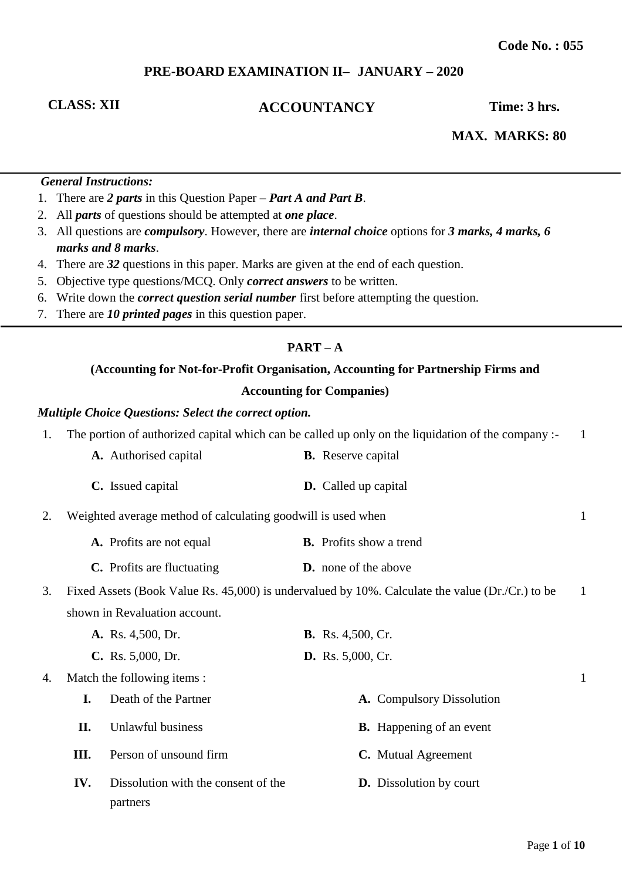# **PRE-BOARD EXAMINATION II– JANUARY – 2020**

# **CLASS: XII ACCOUNTANCY Time: 3 hrs.**

**MAX. MARKS: 80** 

## *General Instructions:*

- 1. There are *2 parts* in this Question Paper *Part A and Part B*.
- 2. All *parts* of questions should be attempted at *one place*.
- 3. All questions are *compulsory*. However, there are *internal choice* options for *3 marks, 4 marks, 6 marks and 8 marks*.
- 4. There are *32* questions in this paper. Marks are given at the end of each question.
- 5. Objective type questions/MCQ. Only *correct answers* to be written.
- 6. Write down the *correct question serial number* first before attempting the question.
- 7. There are *10 printed pages* in this question paper.

### **PART – A**

# **(Accounting for Not-for-Profit Organisation, Accounting for Partnership Firms and Accounting for Companies)**

#### *Multiple Choice Questions: Select the correct option.*

partners

| 1. | The portion of authorized capital which can be called up only on the liquidation of the company :- |  |                                |  |
|----|----------------------------------------------------------------------------------------------------|--|--------------------------------|--|
|    | A. Authorised capital                                                                              |  | <b>B.</b> Reserve capital      |  |
|    | C. Issued capital                                                                                  |  | <b>D.</b> Called up capital    |  |
| 2. | Weighted average method of calculating goodwill is used when                                       |  |                                |  |
|    | A. Profits are not equal                                                                           |  | <b>B.</b> Profits show a trend |  |
|    | C. Profits are fluctuating                                                                         |  | <b>D.</b> none of the above    |  |

3. Fixed Assets (Book Value Rs. 45,000) is undervalued by 10%. Calculate the value (Dr./Cr.) to be shown in Revaluation account. 1

|    |      | A. Rs. 4,500, Dr.                   | <b>B.</b> Rs. 4,500, Cr.        |   |
|----|------|-------------------------------------|---------------------------------|---|
|    |      | $C.$ Rs. 5,000, Dr.                 | <b>D.</b> Rs. 5,000, Cr.        |   |
| 4. |      | Match the following items :         |                                 | 1 |
|    |      | Death of the Partner                | A. Compulsory Dissolution       |   |
|    | П.   | Unlawful business                   | <b>B.</b> Happening of an event |   |
|    | III. | Person of unsound firm              | C. Mutual Agreement             |   |
|    | IV.  | Dissolution with the consent of the | <b>D.</b> Dissolution by court  |   |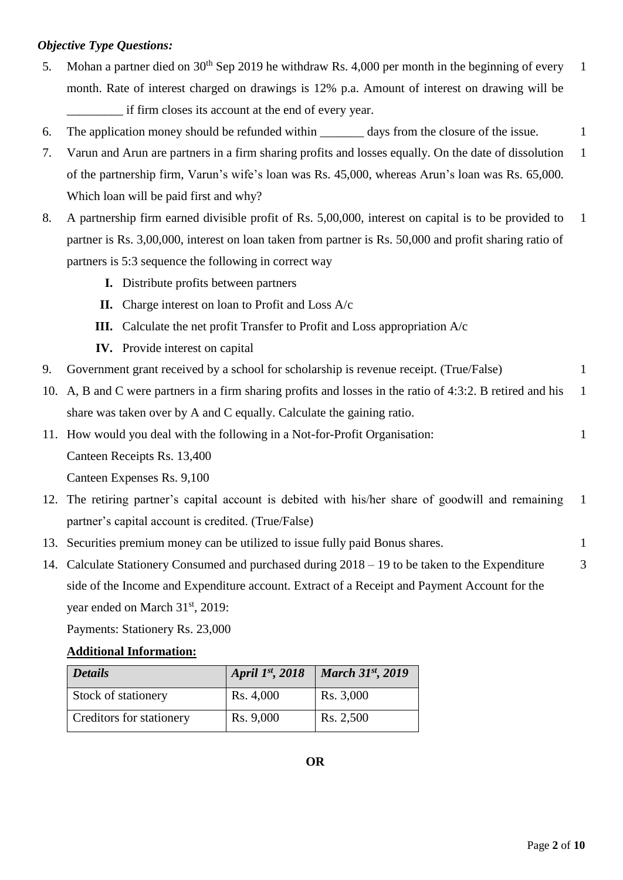# *Objective Type Questions:*

- 5. Mohan a partner died on  $30<sup>th</sup>$  Sep 2019 he withdraw Rs. 4,000 per month in the beginning of every month. Rate of interest charged on drawings is 12% p.a. Amount of interest on drawing will be if firm closes its account at the end of every year. 1
- 6. The application money should be refunded within days from the closure of the issue. 1
- 7. Varun and Arun are partners in a firm sharing profits and losses equally. On the date of dissolution of the partnership firm, Varun's wife's loan was Rs. 45,000, whereas Arun's loan was Rs. 65,000. Which loan will be paid first and why? 1
- 8. A partnership firm earned divisible profit of Rs. 5,00,000, interest on capital is to be provided to partner is Rs. 3,00,000, interest on loan taken from partner is Rs. 50,000 and profit sharing ratio of partners is 5:3 sequence the following in correct way 1
	- **I.** Distribute profits between partners
	- **II.** Charge interest on loan to Profit and Loss A/c
	- **III.** Calculate the net profit Transfer to Profit and Loss appropriation A/c
	- **IV.** Provide interest on capital
- 9. Government grant received by a school for scholarship is revenue receipt. (True/False) 1
- 10. A, B and C were partners in a firm sharing profits and losses in the ratio of 4:3:2. B retired and his share was taken over by A and C equally. Calculate the gaining ratio. 1

11. How would you deal with the following in a Not-for-Profit Organisation: 1

Canteen Receipts Rs. 13,400

Canteen Expenses Rs. 9,100

- 12. The retiring partner's capital account is debited with his/her share of goodwill and remaining partner's capital account is credited. (True/False) 1
- 13. Securities premium money can be utilized to issue fully paid Bonus shares. 1
- 14. Calculate Stationery Consumed and purchased during 2018 19 to be taken to the Expenditure side of the Income and Expenditure account. Extract of a Receipt and Payment Account for the year ended on March 31<sup>st</sup>, 2019: 3

Payments: Stationery Rs. 23,000

# **Additional Information:**

| <i>Details</i>           | April 1st, 2018 | $\vert$ March 31st, 2019 |
|--------------------------|-----------------|--------------------------|
| Stock of stationery      | Rs. 4,000       | Rs. 3,000                |
| Creditors for stationery | Rs. 9,000       | Rs. 2,500                |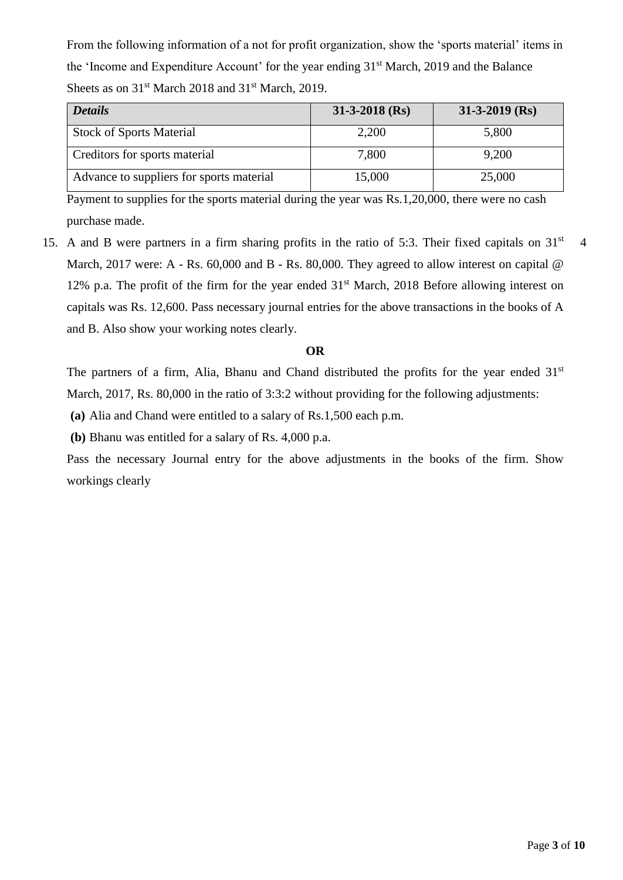From the following information of a not for profit organization, show the 'sports material' items in the 'Income and Expenditure Account' for the year ending 31<sup>st</sup> March, 2019 and the Balance Sheets as on  $31<sup>st</sup>$  March 2018 and  $31<sup>st</sup>$  March, 2019.

| <b>Details</b>                           | $31-3-2018$ (Rs) | $31-3-2019$ (Rs) |
|------------------------------------------|------------------|------------------|
| <b>Stock of Sports Material</b>          | 2,200            | 5,800            |
| Creditors for sports material            | 7,800            | 9,200            |
| Advance to suppliers for sports material | 15,000           | 25,000           |

Payment to supplies for the sports material during the year was Rs.1,20,000, there were no cash purchase made.

15. A and B were partners in a firm sharing profits in the ratio of 5:3. Their fixed capitals on  $31<sup>st</sup>$ March, 2017 were: A - Rs. 60,000 and B - Rs. 80,000. They agreed to allow interest on capital @ 12% p.a. The profit of the firm for the year ended  $31<sup>st</sup>$  March, 2018 Before allowing interest on capitals was Rs. 12,600. Pass necessary journal entries for the above transactions in the books of A and B. Also show your working notes clearly. 4

# **OR**

The partners of a firm, Alia, Bhanu and Chand distributed the profits for the year ended 31<sup>st</sup> March, 2017, Rs. 80,000 in the ratio of 3:3:2 without providing for the following adjustments:

**(a)** Alia and Chand were entitled to a salary of Rs.1,500 each p.m.

**(b)** Bhanu was entitled for a salary of Rs. 4,000 p.a.

Pass the necessary Journal entry for the above adjustments in the books of the firm. Show workings clearly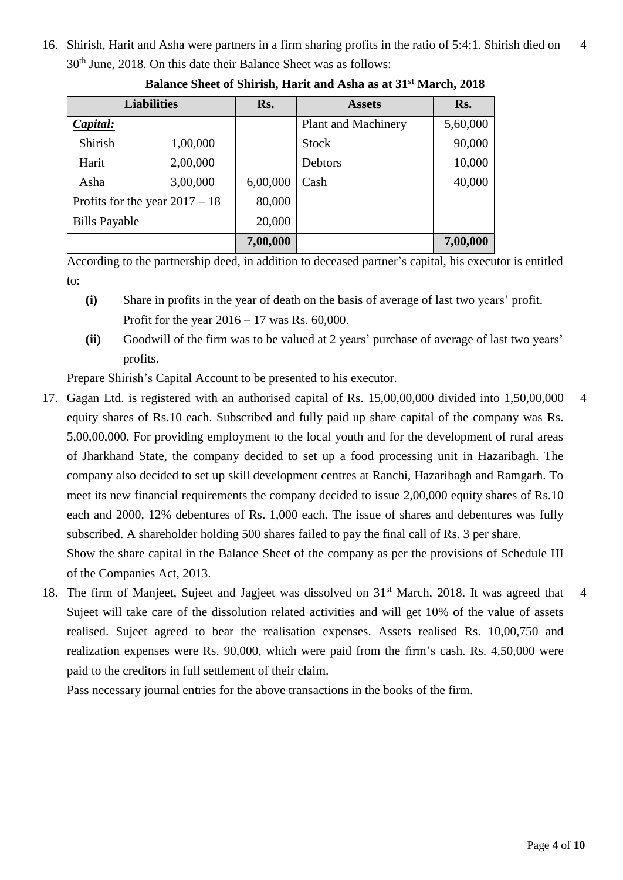16. Shirish, Harit and Asha were partners in a firm sharing profits in the ratio of 5:4:1. Shirish died on 30th June, 2018. On this date their Balance Sheet was as follows: 4

| <b>Liabilities</b>               |          | Rs.      | <b>Assets</b>       | Rs.      |
|----------------------------------|----------|----------|---------------------|----------|
| Capital:                         |          |          | Plant and Machinery | 5,60,000 |
| Shirish                          | 1,00,000 |          | <b>Stock</b>        | 90,000   |
| Harit                            | 2,00,000 |          | Debtors             | 10,000   |
| Asha                             | 3,00,000 | 6,00,000 | Cash                | 40,000   |
| Profits for the year $2017 - 18$ |          | 80,000   |                     |          |
| <b>Bills Payable</b>             |          | 20,000   |                     |          |
|                                  |          | 7,00,000 |                     | 7,00,000 |

**Balance Sheet of Shirish, Harit and Asha as at 31st March, 2018**

According to the partnership deed, in addition to deceased partner's capital, his executor is entitled to:

- **(i)** Share in profits in the year of death on the basis of average of last two years' profit. Profit for the year 2016 – 17 was Rs. 60,000.
- **(ii)** Goodwill of the firm was to be valued at 2 years' purchase of average of last two years' profits.

Prepare Shirish's Capital Account to be presented to his executor.

- 17. Gagan Ltd. is registered with an authorised capital of Rs. 15,00,00,000 divided into 1,50,00,000 equity shares of Rs.10 each. Subscribed and fully paid up share capital of the company was Rs. 5,00,00,000. For providing employment to the local youth and for the development of rural areas of Jharkhand State, the company decided to set up a food processing unit in Hazaribagh. The company also decided to set up skill development centres at Ranchi, Hazaribagh and Ramgarh. To meet its new financial requirements the company decided to issue 2,00,000 equity shares of Rs.10 each and 2000, 12% debentures of Rs. 1,000 each. The issue of shares and debentures was fully subscribed. A shareholder holding 500 shares failed to pay the final call of Rs. 3 per share. Show the share capital in the Balance Sheet of the company as per the provisions of Schedule III of the Companies Act, 2013. 4
- 18. The firm of Manjeet, Sujeet and Jagjeet was dissolved on 31<sup>st</sup> March, 2018. It was agreed that Sujeet will take care of the dissolution related activities and will get 10% of the value of assets realised. Sujeet agreed to bear the realisation expenses. Assets realised Rs. 10,00,750 and realization expenses were Rs. 90,000, which were paid from the firm's cash. Rs. 4,50,000 were paid to the creditors in full settlement of their claim. 4

Pass necessary journal entries for the above transactions in the books of the firm.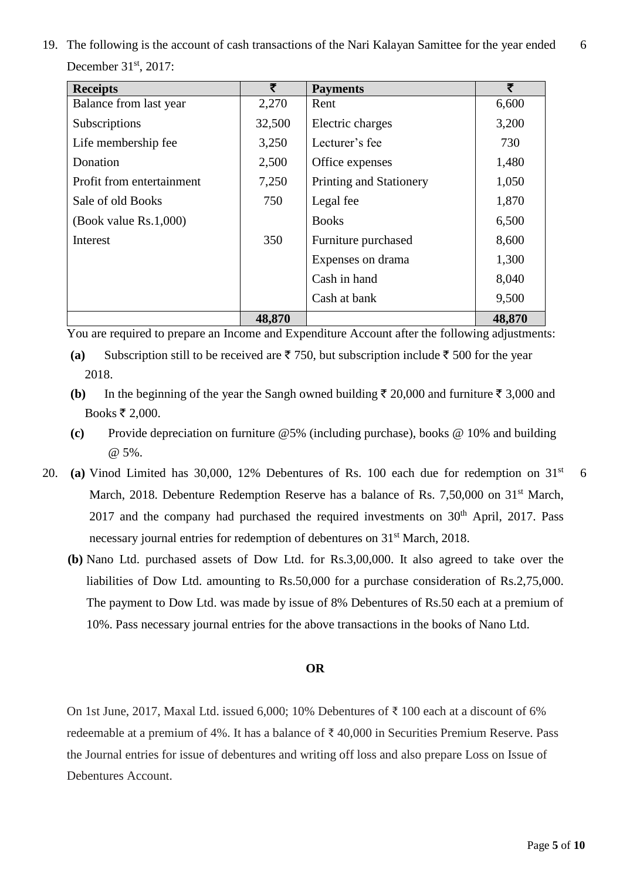19. The following is the account of cash transactions of the Nari Kalayan Samittee for the year ended December 31<sup>st</sup>, 2017: 6

| <b>Receipts</b>           | ₹      | <b>Payments</b>         | ₹      |
|---------------------------|--------|-------------------------|--------|
| Balance from last year    | 2,270  | Rent                    | 6,600  |
| Subscriptions             | 32,500 | Electric charges        | 3,200  |
| Life membership fee       | 3,250  | Lecturer's fee          | 730    |
| Donation                  | 2,500  | Office expenses         | 1,480  |
| Profit from entertainment | 7,250  | Printing and Stationery | 1,050  |
| Sale of old Books         | 750    | Legal fee               | 1,870  |
| (Book value $Rs.1,000$ )  |        | <b>Books</b>            | 6,500  |
| Interest                  | 350    | Furniture purchased     | 8,600  |
|                           |        | Expenses on drama       | 1,300  |
|                           |        | Cash in hand            | 8,040  |
|                           |        | Cash at bank            | 9,500  |
|                           | 48,870 |                         | 48,870 |

You are required to prepare an Income and Expenditure Account after the following adjustments:

- **(a)** Subscription still to be received are  $\bar{\tau}$  750, but subscription include  $\bar{\tau}$  500 for the year 2018.
- **(b)** In the beginning of the year the Sangh owned building  $\bar{\tau}$  20,000 and furniture  $\bar{\tau}$  3,000 and Books ₹ 2,000.
- **(c)** Provide depreciation on furniture @5% (including purchase), books @ 10% and building @ 5%.
- 20. **(a)** Vinod Limited has 30,000, 12% Debentures of Rs. 100 each due for redemption on 31st March, 2018. Debenture Redemption Reserve has a balance of Rs. 7,50,000 on 31<sup>st</sup> March,  $2017$  and the company had purchased the required investments on  $30<sup>th</sup>$  April,  $2017$ . Pass necessary journal entries for redemption of debentures on 31<sup>st</sup> March, 2018.
	- **(b)** Nano Ltd. purchased assets of Dow Ltd. for Rs.3,00,000. It also agreed to take over the liabilities of Dow Ltd. amounting to Rs.50,000 for a purchase consideration of Rs.2,75,000. The payment to Dow Ltd. was made by issue of 8% Debentures of Rs.50 each at a premium of 10%. Pass necessary journal entries for the above transactions in the books of Nano Ltd.

#### **OR**

On 1st June, 2017, Maxal Ltd. issued 6,000; 10% Debentures of ₹ 100 each at a discount of 6% redeemable at a premium of 4%. It has a balance of ₹ 40,000 in Securities Premium Reserve. Pass the Journal entries for issue of debentures and writing off loss and also prepare Loss on Issue of Debentures Account.

6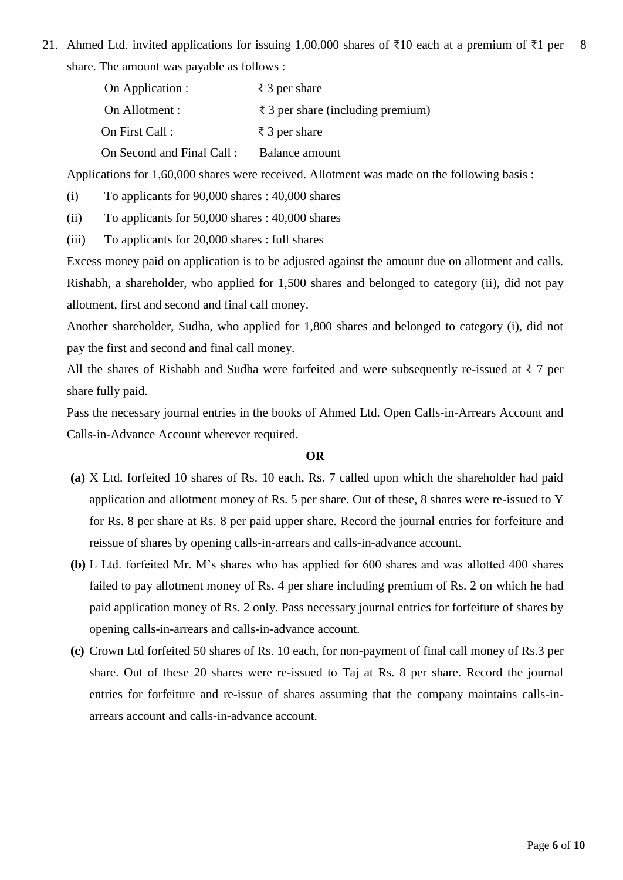21. Ahmed Ltd. invited applications for issuing 1,00,000 shares of ₹10 each at a premium of ₹1 per share. The amount was payable as follows : 8

| On Application :          | $\bar{\xi}$ 3 per share                     |
|---------------------------|---------------------------------------------|
| On Allotment :            | $\bar{\xi}$ 3 per share (including premium) |
| On First Call:            | $\bar{\tau}$ 3 per share                    |
| On Second and Final Call: | Balance amount                              |

Applications for 1,60,000 shares were received. Allotment was made on the following basis :

(i) To applicants for 90,000 shares : 40,000 shares

(ii) To applicants for 50,000 shares : 40,000 shares

(iii) To applicants for 20,000 shares : full shares

Excess money paid on application is to be adjusted against the amount due on allotment and calls. Rishabh, a shareholder, who applied for 1,500 shares and belonged to category (ii), did not pay allotment, first and second and final call money.

Another shareholder, Sudha, who applied for 1,800 shares and belonged to category (i), did not pay the first and second and final call money.

All the shares of Rishabh and Sudha were forfeited and were subsequently re-issued at  $\bar{\tau}$  7 per share fully paid.

Pass the necessary journal entries in the books of Ahmed Ltd. Open Calls-in-Arrears Account and Calls-in-Advance Account wherever required.

### **OR**

- **(a)** X Ltd. forfeited 10 shares of Rs. 10 each, Rs. 7 called upon which the shareholder had paid application and allotment money of Rs. 5 per share. Out of these, 8 shares were re-issued to Y for Rs. 8 per share at Rs. 8 per paid upper share. Record the journal entries for forfeiture and reissue of shares by opening calls-in-arrears and calls-in-advance account.
- **(b)** L Ltd. forfeited Mr. M's shares who has applied for 600 shares and was allotted 400 shares failed to pay allotment money of Rs. 4 per share including premium of Rs. 2 on which he had paid application money of Rs. 2 only. Pass necessary journal entries for forfeiture of shares by opening calls-in-arrears and calls-in-advance account.
- **(c)** Crown Ltd forfeited 50 shares of Rs. 10 each, for non-payment of final call money of Rs.3 per share. Out of these 20 shares were re-issued to Taj at Rs. 8 per share. Record the journal entries for forfeiture and re-issue of shares assuming that the company maintains calls-inarrears account and calls-in-advance account.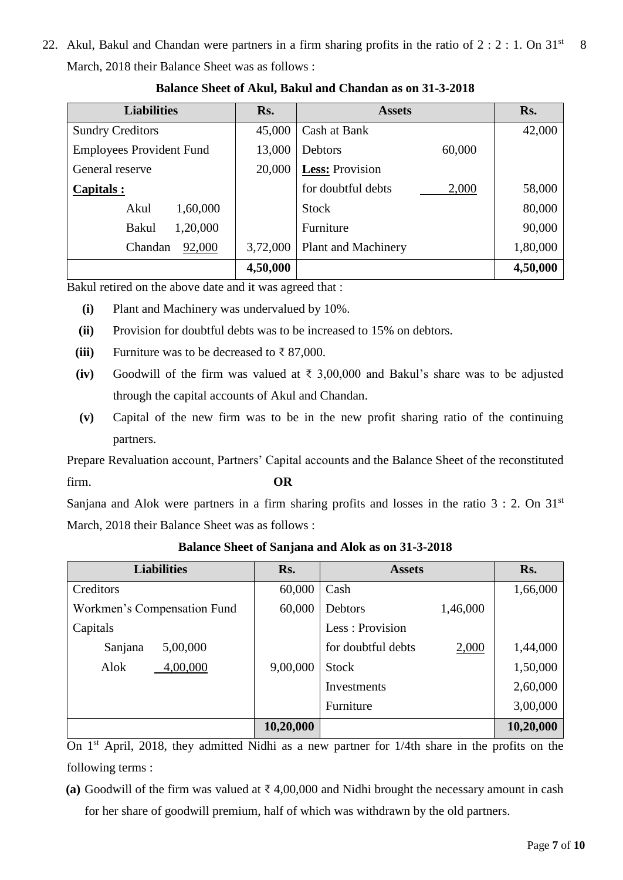22. Akul, Bakul and Chandan were partners in a firm sharing profits in the ratio of  $2:2:1$ . On  $31<sup>st</sup>$ March, 2018 their Balance Sheet was as follows : 8

| <b>Liabilities</b>              | Rs.      | <b>Assets</b>               | Rs.      |
|---------------------------------|----------|-----------------------------|----------|
| <b>Sundry Creditors</b>         | 45,000   | Cash at Bank                | 42,000   |
| <b>Employees Provident Fund</b> | 13,000   | Debtors<br>60,000           |          |
| General reserve                 | 20,000   | Less: Provision             |          |
| Capitals:                       |          | for doubtful debts<br>2,000 | 58,000   |
| Akul<br>1,60,000                |          | <b>Stock</b>                | 80,000   |
| 1,20,000<br><b>Bakul</b>        |          | Furniture                   | 90,000   |
| 92,000<br>Chandan               | 3,72,000 | <b>Plant and Machinery</b>  | 1,80,000 |
|                                 | 4,50,000 |                             | 4,50,000 |

# **Balance Sheet of Akul, Bakul and Chandan as on 31-3-2018**

Bakul retired on the above date and it was agreed that :

- **(i)** Plant and Machinery was undervalued by 10%.
- **(ii)** Provision for doubtful debts was to be increased to 15% on debtors.
- **(iii)** Furniture was to be decreased to  $\bar{\tau}$  87,000.
- **(iv)** Goodwill of the firm was valued at ₹ 3,00,000 and Bakul's share was to be adjusted through the capital accounts of Akul and Chandan.
- **(v)** Capital of the new firm was to be in the new profit sharing ratio of the continuing partners.

Prepare Revaluation account, Partners' Capital accounts and the Balance Sheet of the reconstituted firm. **OR**

Sanjana and Alok were partners in a firm sharing profits and losses in the ratio  $3 : 2$ . On  $31<sup>st</sup>$ March, 2018 their Balance Sheet was as follows :

| <b>Liabilities</b>          | Rs.       | <b>Assets</b>      | Rs.               |
|-----------------------------|-----------|--------------------|-------------------|
| Creditors                   | 60,000    | Cash               | 1,66,000          |
| Workmen's Compensation Fund | 60,000    | Debtors            | 1,46,000          |
| Capitals                    |           | Less: Provision    |                   |
| Sanjana<br>5,00,000         |           | for doubtful debts | 2,000<br>1,44,000 |
| 4,00,000<br>Alok            | 9,00,000  | <b>Stock</b>       | 1,50,000          |
|                             |           | Investments        | 2,60,000          |
|                             |           | Furniture          | 3,00,000          |
|                             | 10,20,000 |                    | 10,20,000         |

**Balance Sheet of Sanjana and Alok as on 31-3-2018**

On 1<sup>st</sup> April, 2018, they admitted Nidhi as a new partner for 1/4th share in the profits on the following terms :

**(a)** Goodwill of the firm was valued at ₹ 4,00,000 and Nidhi brought the necessary amount in cash for her share of goodwill premium, half of which was withdrawn by the old partners.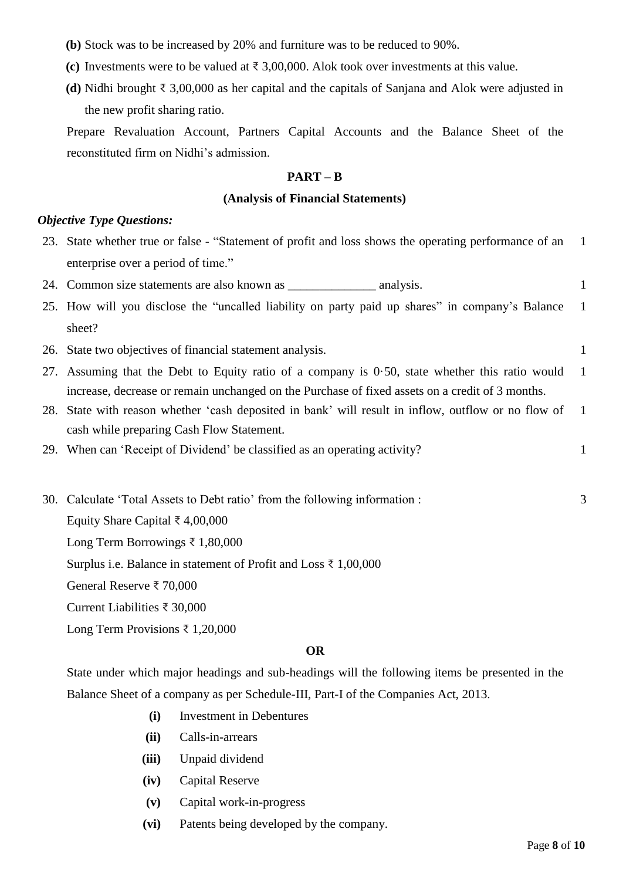- **(b)** Stock was to be increased by 20% and furniture was to be reduced to 90%.
- **(c)** Investments were to be valued at  $\bar{\tau}$  3,00,000. Alok took over investments at this value.
- **(d)** Nidhi brought ₹ 3,00,000 as her capital and the capitals of Sanjana and Alok were adjusted in the new profit sharing ratio.

Prepare Revaluation Account, Partners Capital Accounts and the Balance Sheet of the reconstituted firm on Nidhi's admission.

#### **PART – B**

#### **(Analysis of Financial Statements)**

## *Objective Type Questions:*

- 23. State whether true or false "Statement of profit and loss shows the operating performance of an enterprise over a period of time." 1
- 24. Common size statements are also known as \_\_\_\_\_\_\_\_\_\_\_\_\_\_\_\_\_\_\_\_ analysis. 1
- 25. How will you disclose the "uncalled liability on party paid up shares" in company's Balance sheet? 1
- 26. State two objectives of financial statement analysis. 1
- 27. Assuming that the Debt to Equity ratio of a company is 0·50, state whether this ratio would increase, decrease or remain unchanged on the Purchase of fixed assets on a credit of 3 months. 1
- 28. State with reason whether 'cash deposited in bank' will result in inflow, outflow or no flow of cash while preparing Cash Flow Statement. 1
- 29. When can 'Receipt of Dividend' be classified as an operating activity? 1
- 30. Calculate 'Total Assets to Debt ratio' from the following information : 3

Equity Share Capital ₹ 4,00,000

Long Term Borrowings ₹ 1,80,000

Surplus i.e. Balance in statement of Profit and Loss ₹ 1,00,000

General Reserve ₹ 70,000

Current Liabilities ₹ 30,000

Long Term Provisions ₹ 1,20,000

#### **OR**

State under which major headings and sub-headings will the following items be presented in the Balance Sheet of a company as per Schedule-III, Part-I of the Companies Act, 2013.

- **(i)** Investment in Debentures
- **(ii)** Calls-in-arrears
- **(iii)** Unpaid dividend
- **(iv)** Capital Reserve
- **(v)** Capital work-in-progress
- **(vi)** Patents being developed by the company.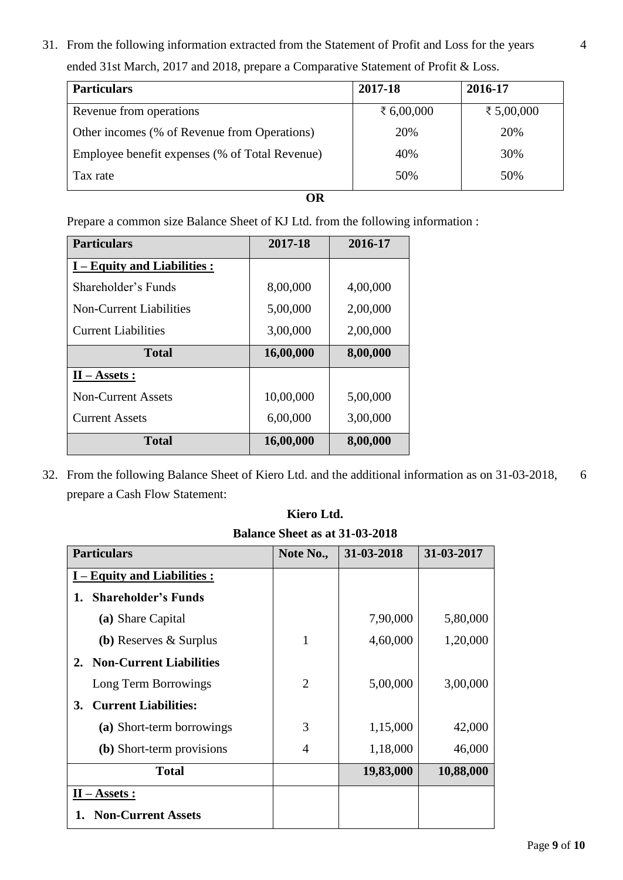31. From the following information extracted from the Statement of Profit and Loss for the years ended 31st March, 2017 and 2018, prepare a Comparative Statement of Profit & Loss.

| <b>Particulars</b>                             | 2017-18      | 2016-17      |
|------------------------------------------------|--------------|--------------|
| Revenue from operations                        | ₹ $6,00,000$ | ₹ $5,00,000$ |
| Other incomes (% of Revenue from Operations)   | 20%          | 20%          |
| Employee benefit expenses (% of Total Revenue) | 40%          | 30%          |
| Tax rate                                       | 50%          | 50%          |

**OR**

Prepare a common size Balance Sheet of KJ Ltd. from the following information :

| <b>Particulars</b>           | 2017-18   | 2016-17  |
|------------------------------|-----------|----------|
| I – Equity and Liabilities : |           |          |
| Shareholder's Funds          | 8,00,000  | 4,00,000 |
| Non-Current Liabilities      | 5,00,000  | 2,00,000 |
| <b>Current Liabilities</b>   | 3,00,000  | 2,00,000 |
| <b>Total</b>                 | 16,00,000 | 8,00,000 |
| $II - Assets:$               |           |          |
| <b>Non-Current Assets</b>    | 10,00,000 | 5,00,000 |
| <b>Current Assets</b>        | 6,00,000  | 3,00,000 |
| <b>Total</b>                 | 16,00,000 | 8,00,000 |

32. From the following Balance Sheet of Kiero Ltd. and the additional information as on 31-03-2018, prepare a Cash Flow Statement: 6

| <b>Particulars</b>                   | Note No.,      | 31-03-2018 | 31-03-2017 |
|--------------------------------------|----------------|------------|------------|
| I – Equity and Liabilities :         |                |            |            |
| <b>Shareholder's Funds</b><br>1.     |                |            |            |
| (a) Share Capital                    |                | 7,90,000   | 5,80,000   |
| (b) Reserves $\&$ Surplus            | 1              | 4,60,000   | 1,20,000   |
| <b>Non-Current Liabilities</b><br>2. |                |            |            |
| Long Term Borrowings                 | $\overline{2}$ | 5,00,000   | 3,00,000   |
| <b>Current Liabilities:</b><br>3.    |                |            |            |
| (a) Short-term borrowings            | 3              | 1,15,000   | 42,000     |
| (b) Short-term provisions            | $\overline{4}$ | 1,18,000   | 46,000     |
| <b>Total</b>                         |                | 19,83,000  | 10,88,000  |
| $II - Assets:$                       |                |            |            |
| <b>Non-Current Assets</b>            |                |            |            |

| Kiero Ltd.                            |  |  |  |  |
|---------------------------------------|--|--|--|--|
| <b>Balance Sheet as at 31-03-2018</b> |  |  |  |  |